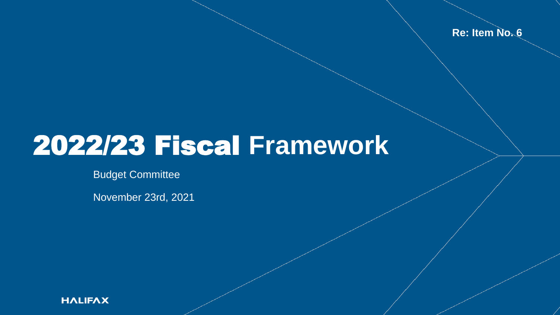**Re: Item No. 6**

## 2022/23 Fiscal **Framework**

Budget Committee

November 23rd, 2021

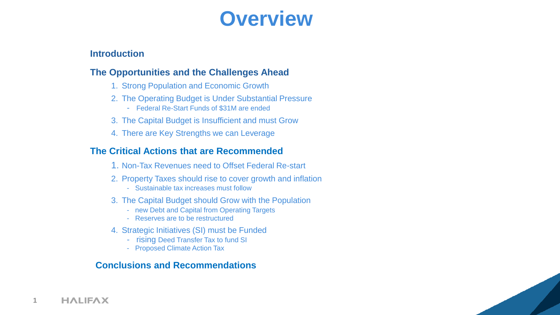#### **Overview**

#### **Introduction**

#### **The Opportunities and the Challenges Ahead**

- 1. Strong Population and Economic Growth
- 2. The Operating Budget is Under Substantial Pressure
	- Federal Re-Start Funds of \$31M are ended
- 3. The Capital Budget is Insufficient and must Grow
- 4. There are Key Strengths we can Leverage

#### **The Critical Actions that are Recommended**

- 1. Non-Tax Revenues need to Offset Federal Re-start
- 2. Property Taxes should rise to cover growth and inflation
	- Sustainable tax increases must follow
- 3. The Capital Budget should Grow with the Population
	- new Debt and Capital from Operating Targets
	- Reserves are to be restructured
- 4. Strategic Initiatives (SI) must be Funded
	- rising Deed Transfer Tax to fund SI
	- Proposed Climate Action Tax

#### **Conclusions and Recommendations**

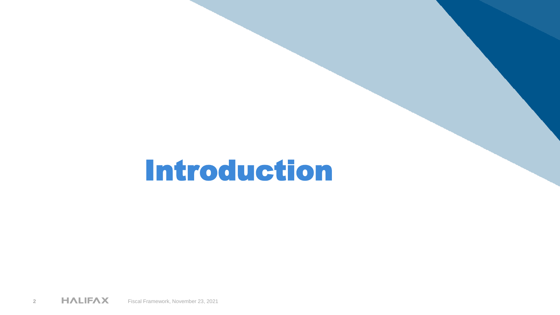# Introduction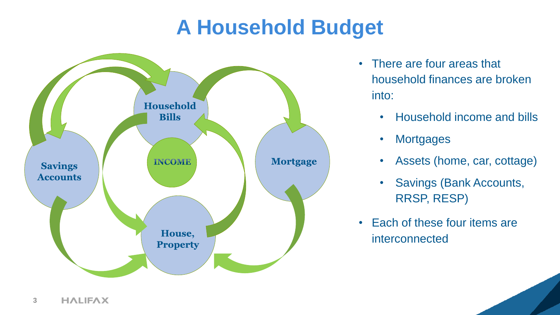### **A Household Budget**



- There are four areas that household finances are broken into:
	- Household income and bills
	- **Mortgages**
	- Assets (home, car, cottage)
	- Savings (Bank Accounts, RRSP, RESP)
- Each of these four items are interconnected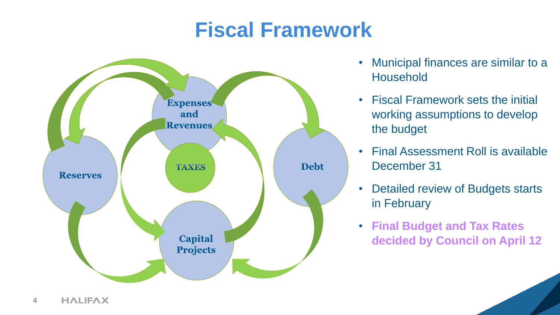### **Fiscal Framework**



- Municipal finances are similar to a Household
- Fiscal Framework sets the initial working assumptions to develop the budget
- Final Assessment Roll is available December 31
- Detailed review of Budgets starts in February
- **Final Budget and Tax Rates decided by Council on April 12**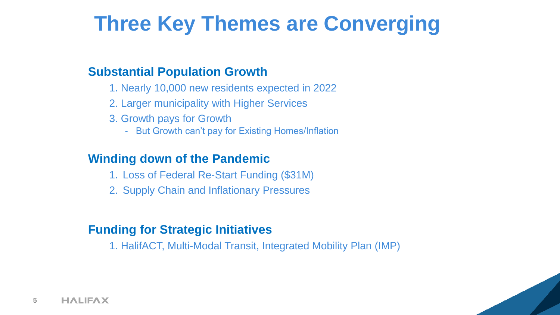### **Three Key Themes are Converging**

#### **Substantial Population Growth**

- 1. Nearly 10,000 new residents expected in 2022
- 2. Larger municipality with Higher Services
- 3. Growth pays for Growth
	- But Growth can't pay for Existing Homes/Inflation

#### **Winding down of the Pandemic**

- 1. Loss of Federal Re-Start Funding (\$31M)
- 2. Supply Chain and Inflationary Pressures

#### **Funding for Strategic Initiatives**

1. HalifACT, Multi-Modal Transit, Integrated Mobility Plan (IMP)

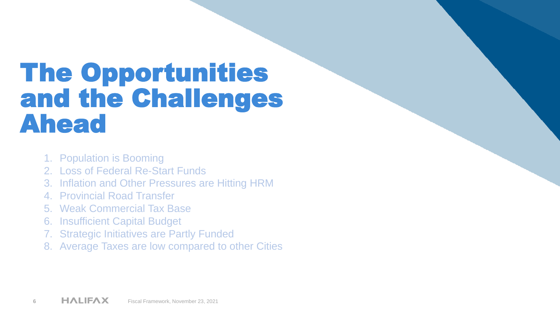## The Opportunities and the Challenges Ahead

- 1. Population is Booming
- 2. Loss of Federal Re-Start Funds
- 3. Inflation and Other Pressures are Hitting HRM
- 4. Provincial Road Transfer
- 5. Weak Commercial Tax Base
- 6. Insufficient Capital Budget
- 7. Strategic Initiatives are Partly Funded
- 8. Average Taxes are low compared to other Cities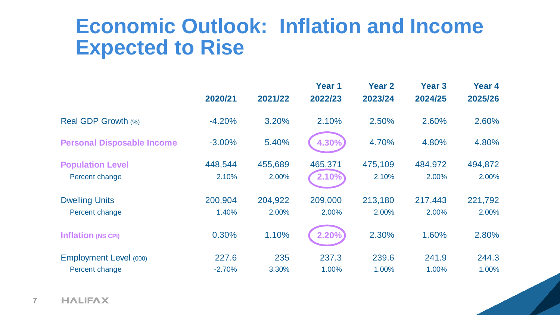#### **Economic Outlook: Inflation and Income Expected to Rise**

|                                   |          |         | Year 1  | <b>Year 2</b> | <b>Year 3</b> | Year 4  |
|-----------------------------------|----------|---------|---------|---------------|---------------|---------|
|                                   | 2020/21  | 2021/22 | 2022/23 | 2023/24       | 2024/25       | 2025/26 |
| Real GDP Growth (%)               | $-4.20%$ | 3.20%   | 2.10%   | 2.50%         | 2.60%         | 2.60%   |
| <b>Personal Disposable Income</b> | $-3.00%$ | 5.40%   | 4.30%   | 4.70%         | 4.80%         | 4.80%   |
| <b>Population Level</b>           | 448,544  | 455,689 | 465,371 | 475,109       | 484,972       | 494,872 |
| Percent change                    | 2.10%    | 2.00%   | 2.10%   | 2.10%         | 2.00%         | 2.00%   |
| <b>Dwelling Units</b>             | 200,904  | 204,922 | 209,000 | 213,180       | 217,443       | 221,792 |
| Percent change                    | 1.40%    | 2.00%   | 2.00%   | 2.00%         | 2.00%         | 2.00%   |
| <b>Inflation (NS CPI)</b>         | 0.30%    | 1.10%   | 2.20%   | 2.30%         | 1.60%         | 2.80%   |
| <b>Employment Level (000)</b>     | 227.6    | 235     | 237.3   | 239.6         | 241.9         | 244.3   |
| Percent change                    | $-2.70%$ | 3.30%   | 1.00%   | 1.00%         | 1.00%         | 1.00%   |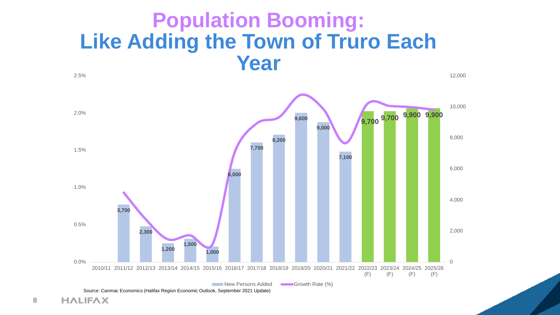#### **Population Booming: Like Adding the Town of Truro Each Year** 2.5%

12,000

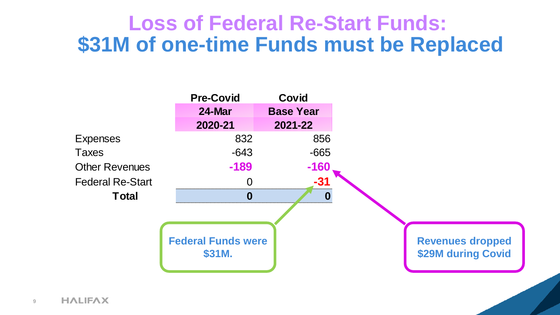#### **Loss of Federal Re-Start Funds: \$31M of one-time Funds must be Replaced**

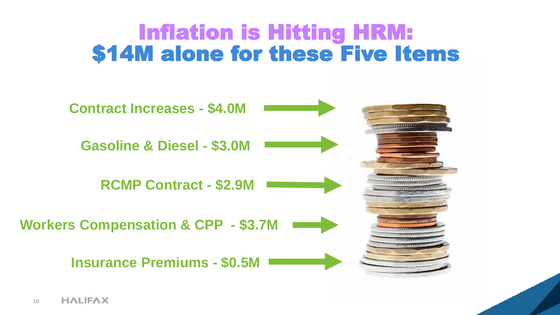### Inflation is Hitting HRM: \$14M alone for these Five Items

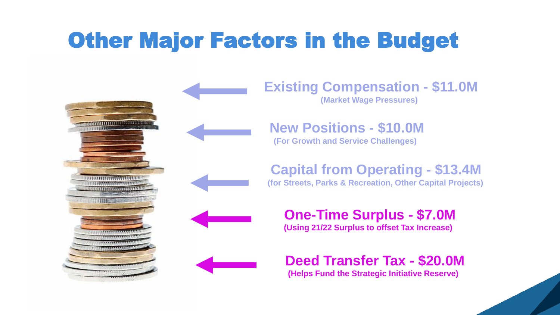## Other Major Factors in the Budget



**Existing Compensation - \$11.0M (Market Wage Pressures)**

**New Positions - \$10.0M (For Growth and Service Challenges)**

**Capital from Operating - \$13.4M**

**(for Streets, Parks & Recreation, Other Capital Projects)**

**One-Time Surplus - \$7.0M (Using 21/22 Surplus to offset Tax Increase)**

#### **Deed Transfer Tax - \$20.0M**

**(Helps Fund the Strategic Initiative Reserve)**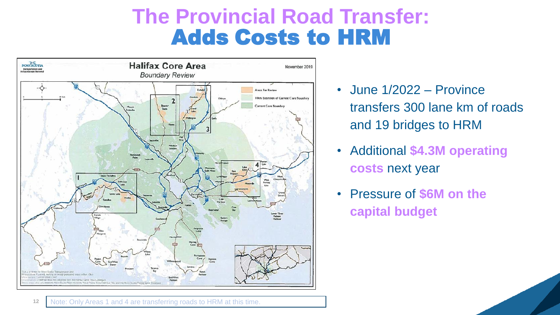### **The Provincial Road Transfer:** Adds Costs to HRM



- June 1/2022 Province transfers 300 lane km of roads and 19 bridges to HRM
- Additional **\$4.3M operating costs** next year
- Pressure of **\$6M on the capital budget**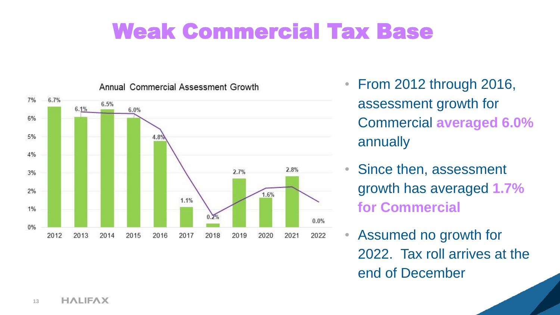### Weak Commercial Tax Base



Annual Commercial Assessment Growth

- From 2012 through 2016, assessment growth for Commercial **averaged 6.0%**  annually
- Since then, assessment growth has averaged **1.7% for Commercial**
- Assumed no growth for 2022. Tax roll arrives at the end of December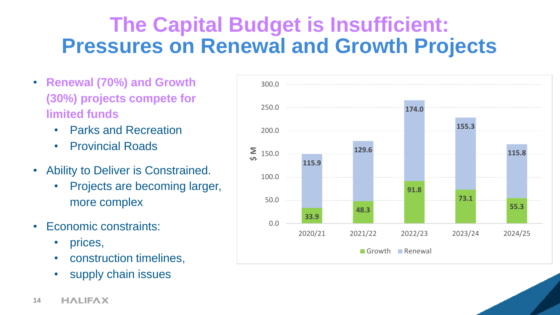### **The Capital Budget is Insufficient: Pressures on Renewal and Growth Projects**

- **Renewal (70%) and Growth (30%) projects compete for limited funds**
	- Parks and Recreation
	- Provincial Roads
- Ability to Deliver is Constrained.
	- Projects are becoming larger, more complex
- Economic constraints:
	- prices,
	- construction timelines,
	- supply chain issues

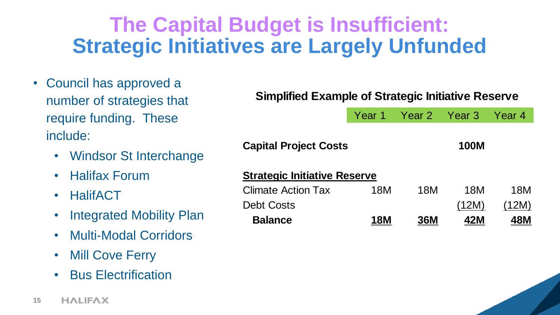### **The Capital Budget is Insufficient: Strategic Initiatives are Largely Unfunded**

- Council has approved a number of strategies that require funding. These include:
	- Windsor St Interchange
	- Halifax Forum
	- HalifACT
	- Integrated Mobility Plan
	- Multi-Modal Corridors
	- Mill Cove Ferry
	- Bus Electrification

#### **Simplified Example of Strategic Initiative Reserve**

| Year 1 | Year 2 Year 3 | Year 4 |
|--------|---------------|--------|
|        |               |        |

| <b>Capital Project Costs</b>        |            |            |       |            |
|-------------------------------------|------------|------------|-------|------------|
| <b>Strategic Initiative Reserve</b> |            |            |       |            |
| <b>Climate Action Tax</b>           | 18M        | 18M        | 18M   | 18M        |
| <b>Debt Costs</b>                   |            |            | (12M) | (12M)      |
| <b>Balance</b>                      | <b>18M</b> | <b>36M</b> | 42M   | <b>48M</b> |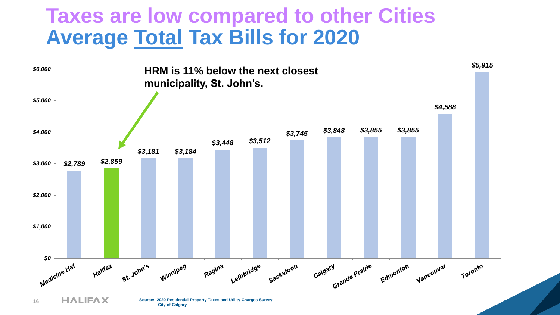#### **Taxes are low compared to other Cities Average Total Tax Bills for 2020**

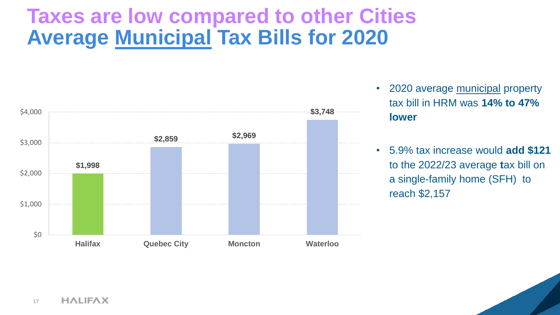### **Taxes are low compared to other Cities Average Municipal Tax Bills for 2020**



- 2020 average municipal property tax bill in HRM was **14% to 47% lower**
- 5.9% tax increase would **add \$121**  to the 2022/23 average **t**ax bill on a single-family home (SFH) to reach \$2,157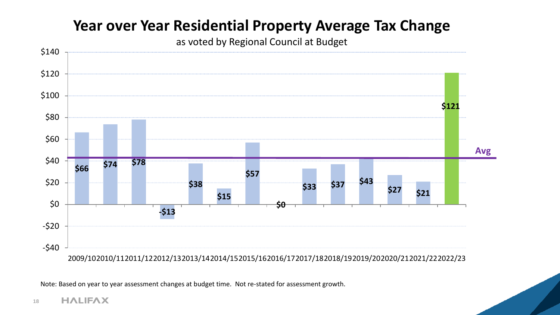#### **Year over Year Residential Property Average Tax Change**

as voted by Regional Council at Budget



Note: Based on year to year assessment changes at budget time. Not re-stated for assessment growth.

#### **HALIFAX 18**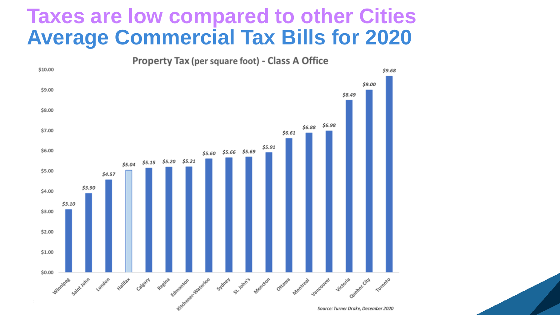#### **Taxes are low compared to other Cities Average Commercial Tax Bills for 2020**



Source: Turner Drake, December 2020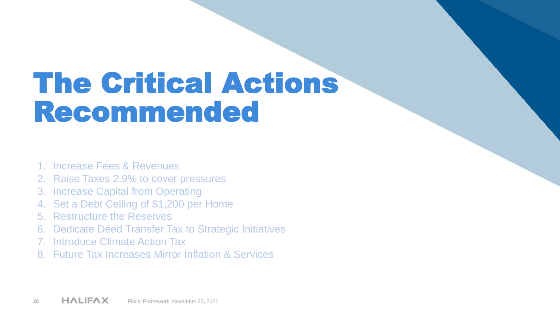# The Critical Actions Recommended

- 1. Increase Fees & Revenues
- 2. Raise Taxes 2.9% to cover pressures
- 3. Increase Capital from Operating
- 4. Set a Debt Ceiling of \$1,200 per Home
- 5. Restructure the Reserves
- 6. Dedicate Deed Transfer Tax to Strategic Initiatives
- 7. Introduce Climate Action Tax
- 8. Future Tax Increases Mirror Inflation & Services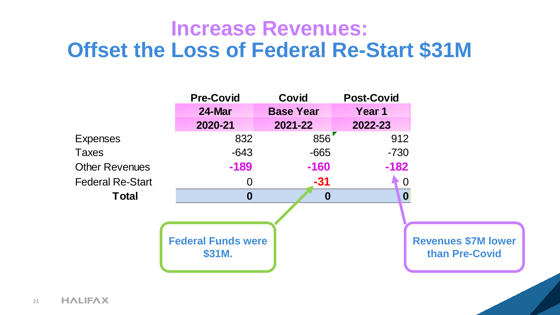#### **Increase Revenues: Offset the Loss of Federal Re-Start \$31M**

|                         | <b>Pre-Covid</b>                    | <b>Covid</b>     | <b>Post-Covid</b> |                                              |
|-------------------------|-------------------------------------|------------------|-------------------|----------------------------------------------|
|                         | 24-Mar                              | <b>Base Year</b> | Year 1            |                                              |
|                         | 2020-21                             | 2021-22          | 2022-23           |                                              |
| <b>Expenses</b>         | 832                                 | 856              | 912               |                                              |
| <b>Taxes</b>            | $-643$                              | $-665$           | $-730$            |                                              |
| <b>Other Revenues</b>   | $-189$                              | $-160$           | $-182$            |                                              |
| <b>Federal Re-Start</b> | 0                                   | $-31$            | 0                 |                                              |
| <b>Total</b>            | $\boldsymbol{0}$                    | $\boldsymbol{0}$ | 0                 |                                              |
|                         | <b>Federal Funds were</b><br>\$31M. |                  |                   | <b>Revenues \$7M lower</b><br>than Pre-Covid |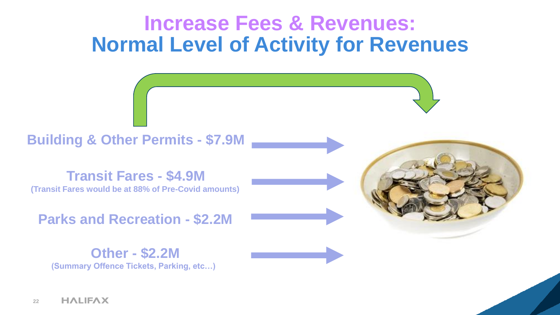#### **Increase Fees & Revenues: Normal Level of Activity for Revenues**

**Building & Other Permits - \$7.9M**

**Transit Fares - \$4.9M (Transit Fares would be at 88% of Pre-Covid amounts)**

**Parks and Recreation - \$2.2M**

**Other - \$2.2M (Summary Offence Tickets, Parking, etc…)**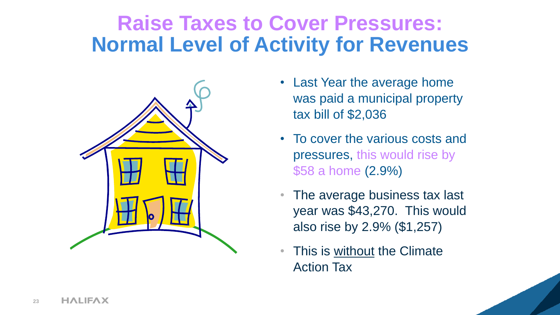### **Raise Taxes to Cover Pressures: Normal Level of Activity for Revenues**



- Last Year the average home was paid a municipal property tax bill of \$2,036
- To cover the various costs and pressures, this would rise by \$58 a home (2.9%)
- The average business tax last year was \$43,270. This would also rise by 2.9% (\$1,257)
- This is without the Climate Action Tax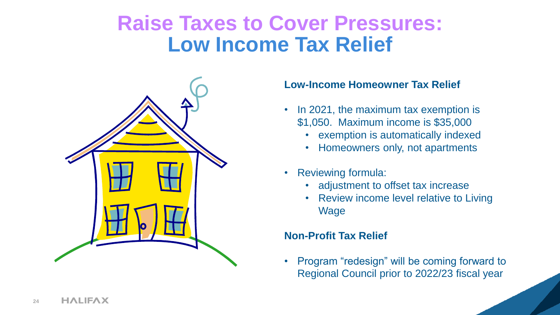#### **Raise Taxes to Cover Pressures: Low Income Tax Relief**



#### **Low-Income Homeowner Tax Relief**

- In 2021, the maximum tax exemption is \$1,050. Maximum income is \$35,000
	- exemption is automatically indexed
	- Homeowners only, not apartments
- Reviewing formula:
	- adjustment to offset tax increase
	- Review income level relative to Living Wage

#### **Non-Profit Tax Relief**

• Program "redesign" will be coming forward to Regional Council prior to 2022/23 fiscal year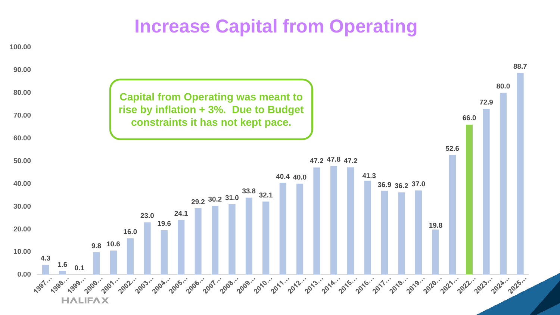#### **Increase Capital from Operating**

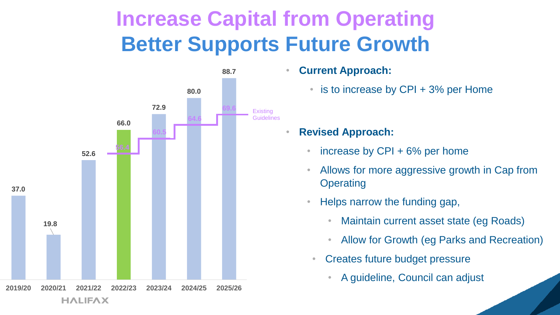### **Increase Capital from Operating Better Supports Future Growth**



• **Current Approach:**

- is to increase by CPI + 3% per Home
- **Revised Approach:**
	- increase by  $CPI + 6%$  per home
	- Allows for more aggressive growth in Cap from **Operating**
	- Helps narrow the funding gap,
		- Maintain current asset state (eg Roads)
		- Allow for Growth (eg Parks and Recreation)
		- Creates future budget pressure
			- A guideline, Council can adjust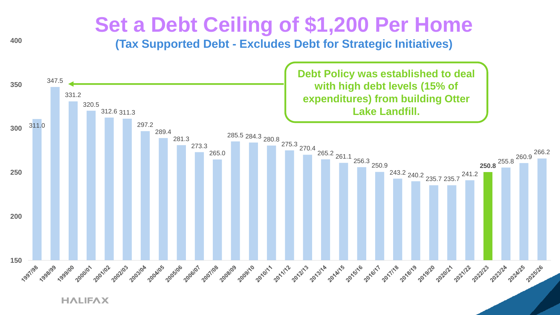#### **Set a Debt Ceiling of \$1,200 Per Home**

**(Tax Supported Debt - Excludes Debt for Strategic Initiatives)**



**HALIFAX**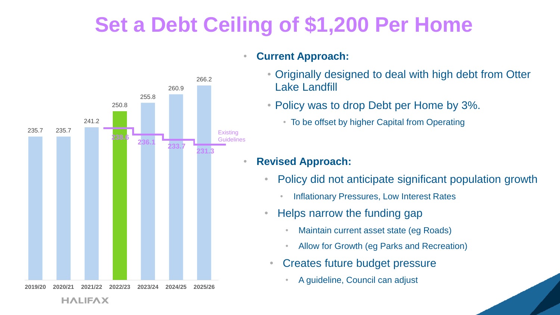### **Set a Debt Ceiling of \$1,200 Per Home**



#### • **Current Approach:**

- Originally designed to deal with high debt from Otter Lake Landfill
- Policy was to drop Debt per Home by 3%.
	- To be offset by higher Capital from Operating

#### • **Revised Approach:**

- Policy did not anticipate significant population growth
	- Inflationary Pressures, Low Interest Rates
- Helps narrow the funding gap
	- Maintain current asset state (eg Roads)
	- Allow for Growth (eg Parks and Recreation)
	- Creates future budget pressure
		- A guideline, Council can adjust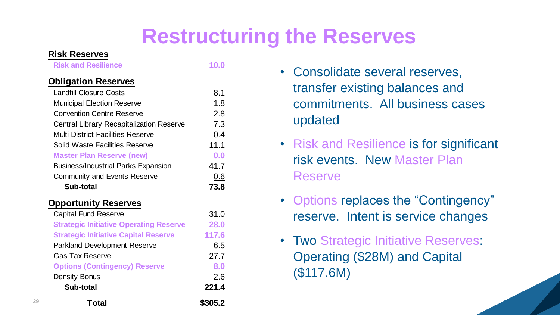### **Restructuring the Reserves**

#### **Obligation Reserves**

| <b>Risk Reserves</b>                            |         |                |
|-------------------------------------------------|---------|----------------|
| <b>Risk and Resilience</b>                      | 10.0    | • Consolida    |
| <b>Obligation Reserves</b>                      |         |                |
| <b>Landfill Closure Costs</b>                   | 8.1     | transfer ex    |
| <b>Municipal Election Reserve</b>               | 1.8     | commitme       |
| <b>Convention Centre Reserve</b>                | 2.8     |                |
| <b>Central Library Recapitalization Reserve</b> | 7.3     | updated        |
| <b>Multi District Facilities Reserve</b>        | 0.4     |                |
| <b>Solid Waste Facilities Reserve</b>           | 11.1    | • Risk and F   |
| <b>Master Plan Reserve (new)</b>                | 0.0     | risk events    |
| <b>Business/Industrial Parks Expansion</b>      | 41.7    |                |
| <b>Community and Events Reserve</b>             | 0.6     | <b>Reserve</b> |
| <b>Sub-total</b>                                | 73.8    |                |
| <b>Opportunity Reserves</b>                     |         | • Options re   |
| <b>Capital Fund Reserve</b>                     | 31.0    | reserve. I     |
| <b>Strategic Initiative Operating Reserve</b>   | 28.0    |                |
| <b>Strategic Initiative Capital Reserve</b>     | 117.6   |                |
| <b>Parkland Development Reserve</b>             | 6.5     | • Two Strate   |
| <b>Gas Tax Reserve</b>                          | 27.7    | Operating      |
| <b>Options (Contingency) Reserve</b>            | 8.0     |                |
| <b>Density Bonus</b>                            | 2.6     | (\$117.6M)     |
| Sub-total                                       | 221.4   |                |
| Total                                           | \$305.2 |                |

- Consolidate several reserves, transfer existing balances and commitments. All business cases updated
- Risk and Resilience is for significant risk events. New Master Plan Reserve
- Options replaces the "Contingency" reserve. Intent is service changes
- Two Strategic Initiative Reserves: Operating (\$28M) and Capital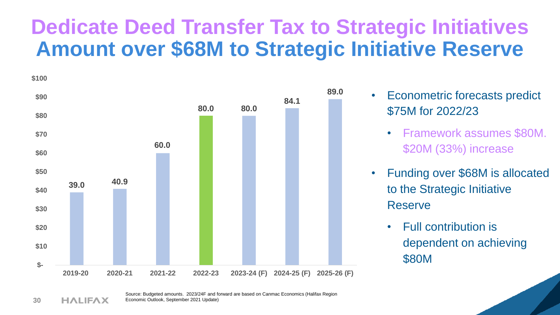### **Dedicate Deed Transfer Tax to Strategic Initiatives Amount over \$68M to Strategic Initiative Reserve**



- Econometric forecasts predict \$75M for 2022/23
	- Framework assumes \$80M. \$20M (33%) increase
- Funding over \$68M is allocated to the Strategic Initiative Reserve
	- Full contribution is dependent on achieving \$80M

Source: Budgeted amounts. 2023/24F and forward are based on Canmac Economics (Halifax Region Economic Outlook, September 2021 Update)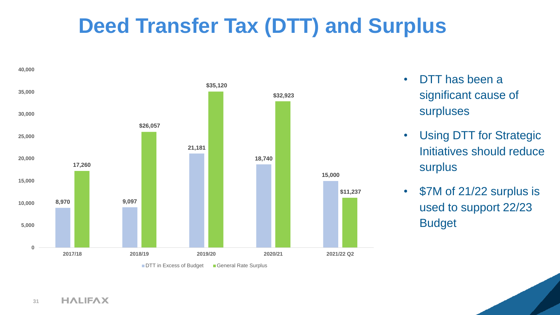### **Deed Transfer Tax (DTT) and Surplus**



- DTT has been a significant cause of surpluses
- Using DTT for Strategic Initiatives should reduce surplus
- \$7M of 21/22 surplus is used to support 22/23 Budget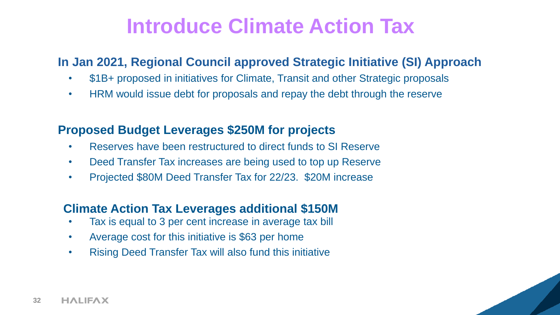### **Introduce Climate Action Tax**

#### **In Jan 2021, Regional Council approved Strategic Initiative (SI) Approach**

- \$1B+ proposed in initiatives for Climate, Transit and other Strategic proposals
- HRM would issue debt for proposals and repay the debt through the reserve

#### **Proposed Budget Leverages \$250M for projects**

- Reserves have been restructured to direct funds to SI Reserve
- Deed Transfer Tax increases are being used to top up Reserve
- Projected \$80M Deed Transfer Tax for 22/23. \$20M increase

#### **Climate Action Tax Leverages additional \$150M**

- Tax is equal to 3 per cent increase in average tax bill
- Average cost for this initiative is \$63 per home
- Rising Deed Transfer Tax will also fund this initiative

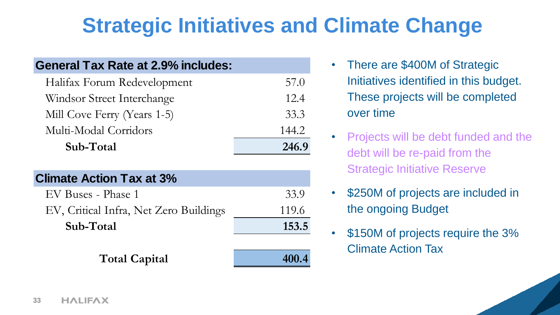## **Strategic Initiatives and Climate Change**

| <b>General Tax Rate at 2.9% includes:</b> |       |
|-------------------------------------------|-------|
| Halifax Forum Redevelopment               | 57.0  |
| Windsor Street Interchange                | 12.4  |
| Mill Cove Ferry (Years 1-5)               | 33.3  |
| Multi-Modal Corridors                     | 144.2 |
| Sub-Total                                 | 246.9 |
| <b>Climate Action Tax at 3%</b>           |       |
| EV Buses - Phase 1                        | 33.9  |
|                                           |       |
| EV, Critical Infra, Net Zero Buildings    | 119.6 |
| Sub-Total                                 | 153.5 |

Total Capital **400.4** 

- There are \$400M of Strategic Initiatives identified in this budget. These projects will be completed over time
- Projects will be debt funded and the debt will be re-paid from the Strategic Initiative Reserve
- \$250M of projects are included in the ongoing Budget
- \$150M of projects require the 3% Climate Action Tax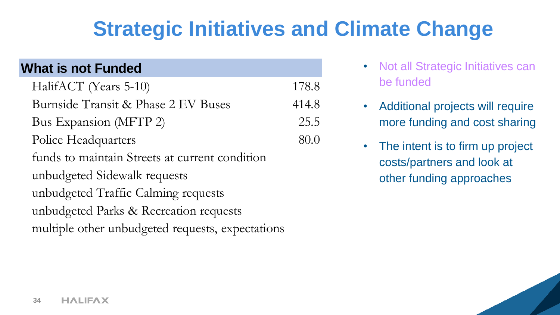### **Strategic Initiatives and Climate Change**

| <b>What is not Funded</b>                        |       |
|--------------------------------------------------|-------|
| HalifACT (Years 5-10)                            | 178.8 |
| Burnside Transit & Phase 2 EV Buses              | 414.8 |
| Bus Expansion (MFTP 2)                           | 25.5  |
| Police Headquarters                              | 80.0  |
| funds to maintain Streets at current condition   |       |
| unbudgeted Sidewalk requests                     |       |
| unbudgeted Traffic Calming requests              |       |
| unbudgeted Parks & Recreation requests           |       |
| multiple other unbudgeted requests, expectations |       |

- Not all Strategic Initiatives can be funded
- Additional projects will require more funding and cost sharing
- The intent is to firm up project costs/partners and look at other funding approaches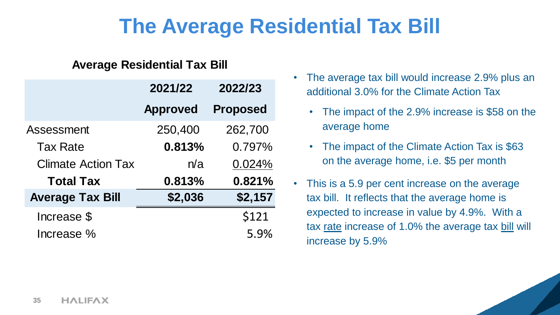### **The Average Residential Tax Bill**

#### **Average Residential Tax Bill**

|                           | 2021/22         | 2022/23         |
|---------------------------|-----------------|-----------------|
|                           | <b>Approved</b> | <b>Proposed</b> |
| <b>Assessment</b>         | 250,400         | 262,700         |
| <b>Tax Rate</b>           | 0.813%          | 0.797%          |
| <b>Climate Action Tax</b> | n/a             | 0.024%          |
| <b>Total Tax</b>          | 0.813%          | 0.821%          |
| <b>Average Tax Bill</b>   | \$2,036         | \$2,157         |
| Increase \$               |                 | \$121           |
| Increase %                |                 | 5.9%            |

- The average tax bill would increase 2.9% plus an additional 3.0% for the Climate Action Tax
	- The impact of the 2.9% increase is \$58 on the average home
	- The impact of the Climate Action Tax is \$63 on the average home, i.e. \$5 per month
- This is a 5.9 per cent increase on the average tax bill. It reflects that the average home is expected to increase in value by 4.9%. With a tax rate increase of 1.0% the average tax bill will increase by 5.9%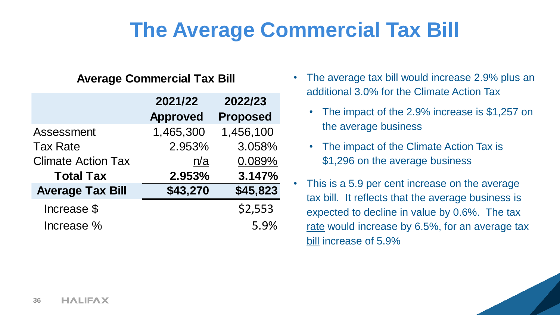### **The Average Commercial Tax Bill**

#### **Average Commercial Tax Bill**

|                           | 2021/22         | 2022/23         |
|---------------------------|-----------------|-----------------|
|                           | <b>Approved</b> | <b>Proposed</b> |
| Assessment                | 1,465,300       | 1,456,100       |
| <b>Tax Rate</b>           | 2.953%          | 3.058%          |
| <b>Climate Action Tax</b> | n/a             | 0.089%          |
| <b>Total Tax</b>          | 2.953%          | 3.147%          |
| <b>Average Tax Bill</b>   | \$43,270        | \$45,823        |
| Increase \$               |                 | \$2,553         |
| Increase %                |                 | 5.9%            |

- The average tax bill would increase 2.9% plus an additional 3.0% for the Climate Action Tax
	- The impact of the 2.9% increase is \$1,257 on the average business
	- The impact of the Climate Action Tax is \$1,296 on the average business
- This is a 5.9 per cent increase on the average tax bill. It reflects that the average business is expected to decline in value by 0.6%. The tax rate would increase by 6.5%, for an average tax bill increase of 5.9%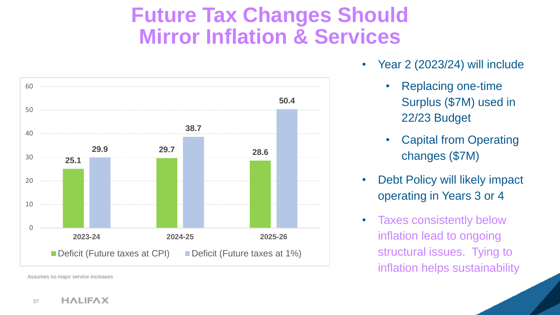### **Future Tax Changes Should Mirror Inflation & Services**



Assumes no major service increases

- Year 2 (2023/24) will include
	- Replacing one-time Surplus (\$7M) used in 22/23 Budget
	- Capital from Operating changes (\$7M)
- Debt Policy will likely impact operating in Years 3 or 4
- Taxes consistently below inflation lead to ongoing structural issues. Tying to inflation helps sustainability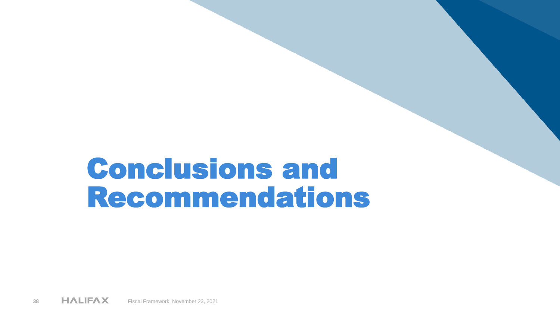# Conclusions and Recommendations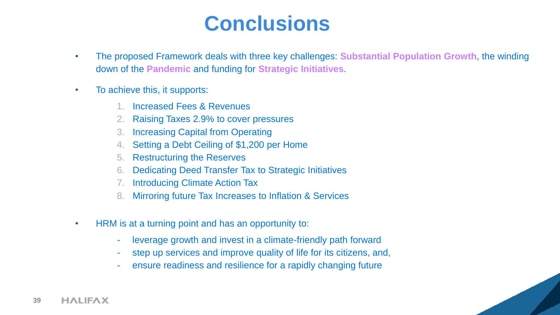### **Conclusions**

- The proposed Framework deals with three key challenges: **Substantial Population Growth**, the winding down of the **Pandemic** and funding for **Strategic Initiatives**.
- To achieve this, it supports:
	- 1. Increased Fees & Revenues
	- 2. Raising Taxes 2.9% to cover pressures
	- 3. Increasing Capital from Operating
	- 4. Setting a Debt Ceiling of \$1,200 per Home
	- 5. Restructuring the Reserves
	- 6. Dedicating Deed Transfer Tax to Strategic Initiatives
	- 7. Introducing Climate Action Tax
	- 8. Mirroring future Tax Increases to Inflation & Services
- HRM is at a turning point and has an opportunity to:
	- leverage growth and invest in a climate-friendly path forward
	- step up services and improve quality of life for its citizens, and,
	- ensure readiness and resilience for a rapidly changing future